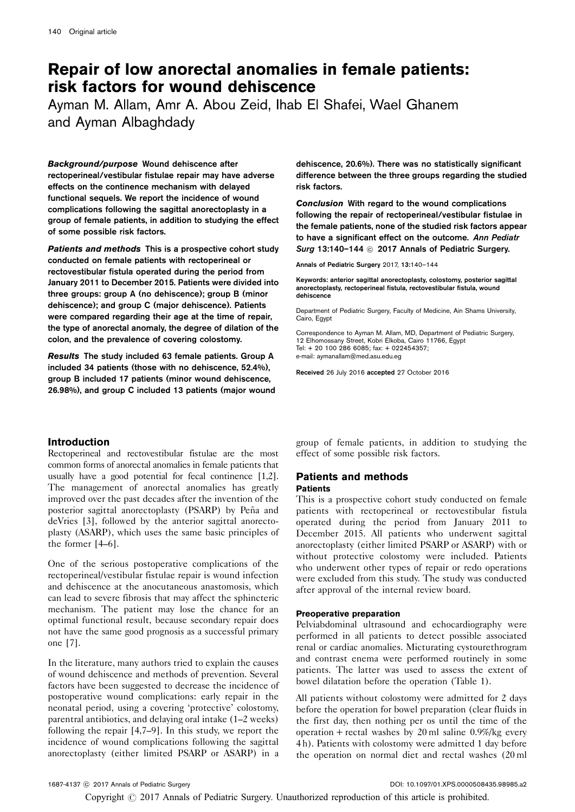# Repair of low anorectal anomalies in female patients: risk factors for wound dehiscence

Ayman M. Allam, Amr A. Abou Zeid, Ihab El Shafei, Wael Ghanem and Ayman Albaghdady

Background/purpose Wound dehiscence after rectoperineal/vestibular fistulae repair may have adverse effects on the continence mechanism with delayed functional sequels. We report the incidence of wound complications following the sagittal anorectoplasty in a group of female patients, in addition to studying the effect of some possible risk factors.

Patients and methods This is a prospective cohort study conducted on female patients with rectoperineal or rectovestibular fistula operated during the period from January 2011 to December 2015. Patients were divided into three groups: group A (no dehiscence); group B (minor dehiscence); and group C (major dehiscence). Patients were compared regarding their age at the time of repair, the type of anorectal anomaly, the degree of dilation of the colon, and the prevalence of covering colostomy.

Results The study included 63 female patients. Group A included 34 patients (those with no dehiscence, 52.4%), group B included 17 patients (minor wound dehiscence, 26.98%), and group C included 13 patients (major wound dehiscence, 20.6%). There was no statistically significant difference between the three groups regarding the studied risk factors.

Conclusion With regard to the wound complications following the repair of rectoperineal/vestibular fistulae in the female patients, none of the studied risk factors appear to have a significant effect on the outcome. Ann Pediatr Surg 13:140-144 @ 2017 Annals of Pediatric Surgery.

Annals of Pediatric Surgery 2017, 13:140–144

Keywords: anterior sagittal anorectoplasty, colostomy, posterior sagittal anorectoplasty, rectoperineal fistula, rectovestibular fistula, wound dehiscence

Department of Pediatric Surgery, Faculty of Medicine, Ain Shams University, Cairo, Egypt

Correspondence to Ayman M. Allam, MD, Department of Pediatric Surgery, 12 Elhomossany Street, Kobri Elkoba, Cairo 11766, Egypt Tel: + 20 100 286 6085; fax: + 022454357; e-mail: [aymanallam@med.asu.edu.eg](mailto:aymanallam@med.asu.edu.eg)

Received 26 July 2016 accepted 27 October 2016

# Introduction

Rectoperineal and rectovestibular fistulae are the most common forms of anorectal anomalies in female patients that usually have a good potential for fecal continence [\[1,2](#page-3-0)]. The management of anorectal anomalies has greatly improved over the past decades after the invention of the posterior sagittal anorectoplasty (PSARP) by Peña and deVries [\[3](#page-3-0)], followed by the anterior sagittal anorectoplasty (ASARP), which uses the same basic principles of the former [\[4–6\]](#page-3-0).

One of the serious postoperative complications of the rectoperineal/vestibular fistulae repair is wound infection and dehiscence at the anocutaneous anastomosis, which can lead to severe fibrosis that may affect the sphincteric mechanism. The patient may lose the chance for an optimal functional result, because secondary repair does not have the same good prognosis as a successful primary one [\[7\]](#page-4-0).

In the literature, many authors tried to explain the causes of wound dehiscence and methods of prevention. Several factors have been suggested to decrease the incidence of postoperative wound complications: early repair in the neonatal period, using a covering 'protective' colostomy, parentral antibiotics, and delaying oral intake (1–2 weeks) following the repair [\[4,7–9\]](#page-3-0). In this study, we report the incidence of wound complications following the sagittal anorectoplasty (either limited PSARP or ASARP) in a

group of female patients, in addition to studying the effect of some possible risk factors.

# Patients and methods

## **Patients**

This is a prospective cohort study conducted on female patients with rectoperineal or rectovestibular fistula operated during the period from January 2011 to December 2015. All patients who underwent sagittal anorectoplasty (either limited PSARP or ASARP) with or without protective colostomy were included. Patients who underwent other types of repair or redo operations were excluded from this study. The study was conducted after approval of the internal review board.

#### Preoperative preparation

Pelviabdominal ultrasound and echocardiography were performed in all patients to detect possible associated renal or cardiac anomalies. Micturating cystourethrogram and contrast enema were performed routinely in some patients. The latter was used to assess the extent of bowel dilatation before the operation ([Table 1](#page-1-0)).

All patients without colostomy were admitted for 2 days before the operation for bowel preparation (clear fluids in the first day, then nothing per os until the time of the operation + rectal washes by 20 ml saline  $0.9\%/kg$  every 4 h). Patients with colostomy were admitted 1 day before the operation on normal diet and rectal washes (20 ml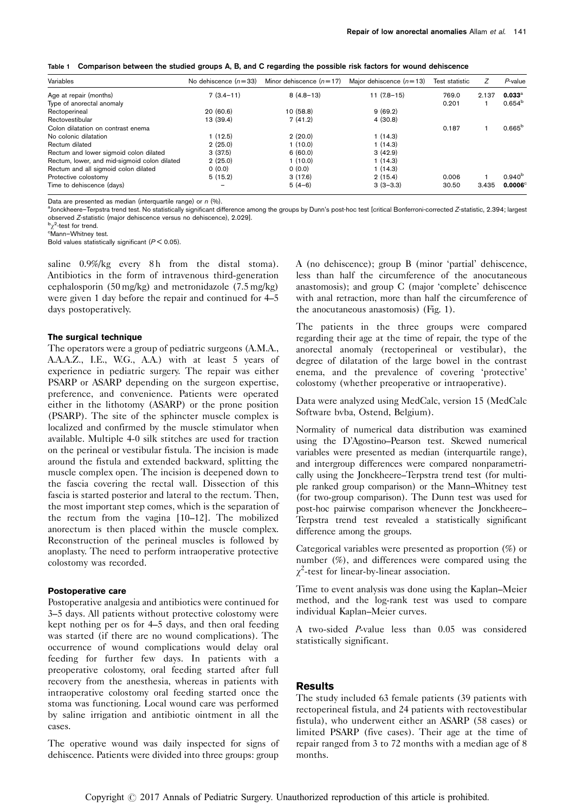<span id="page-1-0"></span>

|  |  |  |  | Table 1 Comparison between the studied groups A, B, and C regarding the possible risk factors for wound dehiscence |  |
|--|--|--|--|--------------------------------------------------------------------------------------------------------------------|--|
|--|--|--|--|--------------------------------------------------------------------------------------------------------------------|--|

| Variables                                    | No dehiscence $(n=33)$ | Minor dehiscence $(n=17)$ | Major dehiscence $(n=13)$ | Test statistic | Ζ     | P-value         |
|----------------------------------------------|------------------------|---------------------------|---------------------------|----------------|-------|-----------------|
| Age at repair (months)                       | $7(3.4-11)$            | $8(4.8-13)$               | $11(7.8-15)$              | 769.0          | 2.137 | $0.033^{\circ}$ |
| Type of anorectal anomaly                    |                        |                           |                           | 0.201          |       | $0.654^{b}$     |
| Rectoperineal                                | 20(60.6)               | 10(58.8)                  | 9(69.2)                   |                |       |                 |
| Rectovestibular                              | 13 (39.4)              | 7(41.2)                   | 4(30.8)                   |                |       |                 |
| Colon dilatation on contrast enema           |                        |                           |                           | 0.187          |       | $0.665^{\rm b}$ |
| No colonic dilatation                        | 1(12.5)                | 2(20.0)                   | 1(14.3)                   |                |       |                 |
| Rectum dilated                               | 2(25.0)                | 1(10.0)                   | 1(14.3)                   |                |       |                 |
| Rectum and lower sigmoid colon dilated       | 3(37.5)                | 6(60.0)                   | 3(42.9)                   |                |       |                 |
| Rectum, lower, and mid-sigmoid colon dilated | 2(25.0)                | 1(10.0)                   | 1(14.3)                   |                |       |                 |
| Rectum and all sigmoid colon dilated         | 0(0.0)                 | 0(0.0)                    | 1(14.3)                   |                |       |                 |
| Protective colostomy                         | 5(15.2)                | 3(17.6)                   | 2(15.4)                   | 0.006          |       | $0.940^{b}$     |
| Time to dehiscence (days)                    |                        | $5(4-6)$                  | $3(3-3.3)$                | 30.50          | 3.435 | $0.0006^\circ$  |

Data are presented as median (interquartile range) or  $n$  (%).

a<br>Jonckheere–Terpstra trend test. No statistically significant difference among the groups by Dunn's post-hoc test [critical Bonferroni-corrected Z-statistic, 2.394; largest observed <sup>Z</sup>-statistic (major dehiscence versus no dehiscence), 2.029]. <sup>b</sup>

<sup>b</sup>χ<sup>2</sup>-test for trend.<br><sup>c</sup>Mann–Whitney t

Mann–Whitney test.

Bold values statistically significant ( $P < 0.05$ ).

saline 0.9%/kg every 8h from the distal stoma). Antibiotics in the form of intravenous third-generation cephalosporin (50 mg/kg) and metronidazole (7.5 mg/kg) were given 1 day before the repair and continued for 4–5 days postoperatively.

#### The surgical technique

The operators were a group of pediatric surgeons (A.M.A., A.A.A.Z., I.E., W.G., A.A.) with at least 5 years of experience in pediatric surgery. The repair was either PSARP or ASARP depending on the surgeon expertise, preference, and convenience. Patients were operated either in the lithotomy (ASARP) or the prone position (PSARP). The site of the sphincter muscle complex is localized and confirmed by the muscle stimulator when available. Multiple 4-0 silk stitches are used for traction on the perineal or vestibular fistula. The incision is made around the fistula and extended backward, splitting the muscle complex open. The incision is deepened down to the fascia covering the rectal wall. Dissection of this fascia is started posterior and lateral to the rectum. Then, the most important step comes, which is the separation of the rectum from the vagina [\[10–12](#page-4-0)]. The mobilized anorectum is then placed within the muscle complex. Reconstruction of the perineal muscles is followed by anoplasty. The need to perform intraoperative protective colostomy was recorded.

#### Postoperative care

Postoperative analgesia and antibiotics were continued for 3–5 days. All patients without protective colostomy were kept nothing per os for 4–5 days, and then oral feeding was started (if there are no wound complications). The occurrence of wound complications would delay oral feeding for further few days. In patients with a preoperative colostomy, oral feeding started after full recovery from the anesthesia, whereas in patients with intraoperative colostomy oral feeding started once the stoma was functioning. Local wound care was performed by saline irrigation and antibiotic ointment in all the cases.

The operative wound was daily inspected for signs of dehiscence. Patients were divided into three groups: group

A (no dehiscence); group B (minor 'partial' dehiscence, less than half the circumference of the anocutaneous anastomosis); and group C (major 'complete' dehiscence with anal retraction, more than half the circumference of the anocutaneous anastomosis) ([Fig. 1\)](#page-2-0).

The patients in the three groups were compared regarding their age at the time of repair, the type of the anorectal anomaly (rectoperineal or vestibular), the degree of dilatation of the large bowel in the contrast enema, and the prevalence of covering 'protective' colostomy (whether preoperative or intraoperative).

Data were analyzed using MedCalc, version 15 (MedCalc Software bvba, Ostend, Belgium).

Normality of numerical data distribution was examined using the D'Agostino–Pearson test. Skewed numerical variables were presented as median (interquartile range), and intergroup differences were compared nonparametrically using the Jonckheere–Terpstra trend test (for multiple ranked group comparison) or the Mann–Whitney test (for two-group comparison). The Dunn test was used for post-hoc pairwise comparison whenever the Jonckheere– Terpstra trend test revealed a statistically significant difference among the groups.

Categorical variables were presented as proportion (%) or number (%), and differences were compared using the  $\chi^2$ -test for linear-by-linear association.

Time to event analysis was done using the Kaplan–Meier method, and the log-rank test was used to compare individual Kaplan–Meier curves.

A two-sided P-value less than 0.05 was considered statistically significant.

## Results

The study included 63 female patients (39 patients with rectoperineal fistula, and 24 patients with rectovestibular fistula), who underwent either an ASARP (58 cases) or limited PSARP (five cases). Their age at the time of repair ranged from 3 to 72 months with a median age of 8 months.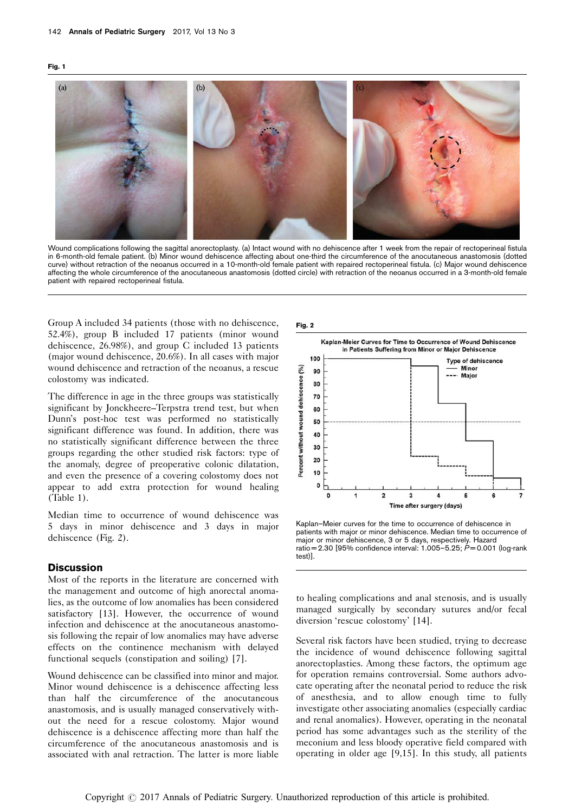<span id="page-2-0"></span>

Wound complications following the sagittal anorectoplasty. (a) Intact wound with no dehiscence after 1 week from the repair of rectoperineal fistula in 6-month-old female patient. (b) Minor wound dehiscence affecting about one-third the circumference of the anocutaneous anastomosis (dotted curve) without retraction of the neoanus occurred in a 10-month-old female patient with repaired rectoperineal fistula. (c) Major wound dehiscence affecting the whole circumference of the anocutaneous anastomosis (dotted circle) with retraction of the neoanus occurred in a 3-month-old female patient with repaired rectoperineal fistula.

Group A included 34 patients (those with no dehiscence, 52.4%), group B included 17 patients (minor wound dehiscence, 26.98%), and group C included 13 patients (major wound dehiscence, 20.6%). In all cases with major wound dehiscence and retraction of the neoanus, a rescue colostomy was indicated.

The difference in age in the three groups was statistically significant by Jonckheere–Terpstra trend test, but when Dunn's post-hoc test was performed no statistically significant difference was found. In addition, there was no statistically significant difference between the three groups regarding the other studied risk factors: type of the anomaly, degree of preoperative colonic dilatation, and even the presence of a covering colostomy does not appear to add extra protection for wound healing ([Table 1](#page-1-0)).

Median time to occurrence of wound dehiscence was 5 days in minor dehiscence and 3 days in major dehiscence (Fig. 2).

## **Discussion**

Most of the reports in the literature are concerned with the management and outcome of high anorectal anomalies, as the outcome of low anomalies has been considered satisfactory [\[13](#page-4-0)]. However, the occurrence of wound infection and dehiscence at the anocutaneous anastomosis following the repair of low anomalies may have adverse effects on the continence mechanism with delayed functional sequels (constipation and soiling) [\[7](#page-4-0)].

Wound dehiscence can be classified into minor and major. Minor wound dehiscence is a dehiscence affecting less than half the circumference of the anocutaneous anastomosis, and is usually managed conservatively without the need for a rescue colostomy. Major wound dehiscence is a dehiscence affecting more than half the circumference of the anocutaneous anastomosis and is associated with anal retraction. The latter is more liable





Kaplan–Meier curves for the time to occurrence of dehiscence in patients with major or minor dehiscence. Median time to occurrence of major or minor dehiscence, 3 or 5 days, respectively. Hazard ratio =  $2.30$  [95% confidence interval:  $1.005 - 5.25$ ;  $P = 0.001$  (log-rank test)].

to healing complications and anal stenosis, and is usually managed surgically by secondary sutures and/or fecal diversion 'rescue colostomy' [\[14](#page-4-0)].

Several risk factors have been studied, trying to decrease the incidence of wound dehiscence following sagittal anorectoplasties. Among these factors, the optimum age for operation remains controversial. Some authors advocate operating after the neonatal period to reduce the risk of anesthesia, and to allow enough time to fully investigate other associating anomalies (especially cardiac and renal anomalies). However, operating in the neonatal period has some advantages such as the sterility of the meconium and less bloody operative field compared with operating in older age [\[9,15](#page-4-0)]. In this study, all patients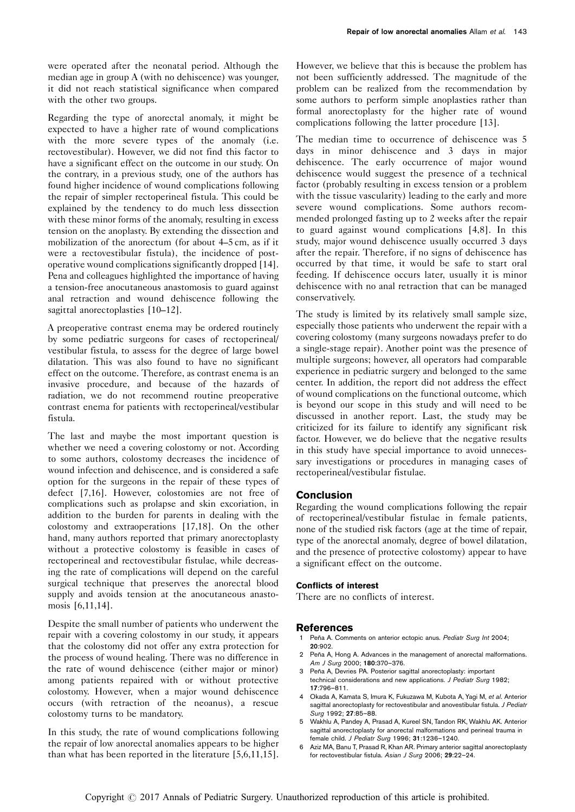<span id="page-3-0"></span>were operated after the neonatal period. Although the median age in group A (with no dehiscence) was younger, it did not reach statistical significance when compared with the other two groups.

Regarding the type of anorectal anomaly, it might be expected to have a higher rate of wound complications with the more severe types of the anomaly (i.e. rectovestibular). However, we did not find this factor to have a significant effect on the outcome in our study. On the contrary, in a previous study, one of the authors has found higher incidence of wound complications following the repair of simpler rectoperineal fistula. This could be explained by the tendency to do much less dissection with these minor forms of the anomaly, resulting in excess tension on the anoplasty. By extending the dissection and mobilization of the anorectum (for about 4–5 cm, as if it were a rectovestibular fistula), the incidence of postoperative wound complications significantly dropped [\[14](#page-4-0)]. Pena and colleagues highlighted the importance of having a tension-free anocutaneous anastomosis to guard against anal retraction and wound dehiscence following the sagittal anorectoplasties [\[10–12\]](#page-4-0).

A preoperative contrast enema may be ordered routinely by some pediatric surgeons for cases of rectoperineal/ vestibular fistula, to assess for the degree of large bowel dilatation. This was also found to have no significant effect on the outcome. Therefore, as contrast enema is an invasive procedure, and because of the hazards of radiation, we do not recommend routine preoperative contrast enema for patients with rectoperineal/vestibular fistula.

The last and maybe the most important question is whether we need a covering colostomy or not. According to some authors, colostomy decreases the incidence of wound infection and dehiscence, and is considered a safe option for the surgeons in the repair of these types of defect [\[7,16](#page-4-0)]. However, colostomies are not free of complications such as prolapse and skin excoriation, in addition to the burden for parents in dealing with the colostomy and extraoperations [\[17,18\]](#page-4-0). On the other hand, many authors reported that primary anorectoplasty without a protective colostomy is feasible in cases of rectoperineal and rectovestibular fistulae, while decreasing the rate of complications will depend on the careful surgical technique that preserves the anorectal blood supply and avoids tension at the anocutaneous anastomosis [6,11,14].

Despite the small number of patients who underwent the repair with a covering colostomy in our study, it appears that the colostomy did not offer any extra protection for the process of wound healing. There was no difference in the rate of wound dehiscence (either major or minor) among patients repaired with or without protective colostomy. However, when a major wound dehiscence occurs (with retraction of the neoanus), a rescue colostomy turns to be mandatory.

In this study, the rate of wound complications following the repair of low anorectal anomalies appears to be higher than what has been reported in the literature [5,6,11,15].

However, we believe that this is because the problem has not been sufficiently addressed. The magnitude of the problem can be realized from the recommendation by some authors to perform simple anoplasties rather than formal anorectoplasty for the higher rate of wound complications following the latter procedure [\[13\]](#page-4-0).

The median time to occurrence of dehiscence was 5 days in minor dehiscence and 3 days in major dehiscence. The early occurrence of major wound dehiscence would suggest the presence of a technical factor (probably resulting in excess tension or a problem with the tissue vascularity) leading to the early and more severe wound complications. Some authors recommended prolonged fasting up to 2 weeks after the repair to guard against wound complications [4,8]. In this study, major wound dehiscence usually occurred 3 days after the repair. Therefore, if no signs of dehiscence has occurred by that time, it would be safe to start oral feeding. If dehiscence occurs later, usually it is minor dehiscence with no anal retraction that can be managed conservatively.

The study is limited by its relatively small sample size, especially those patients who underwent the repair with a covering colostomy (many surgeons nowadays prefer to do a single-stage repair). Another point was the presence of multiple surgeons; however, all operators had comparable experience in pediatric surgery and belonged to the same center. In addition, the report did not address the effect of wound complications on the functional outcome, which is beyond our scope in this study and will need to be discussed in another report. Last, the study may be criticized for its failure to identify any significant risk factor. However, we do believe that the negative results in this study have special importance to avoid unnecessary investigations or procedures in managing cases of rectoperineal/vestibular fistulae.

# Conclusion

Regarding the wound complications following the repair of rectoperineal/vestibular fistulae in female patients, none of the studied risk factors (age at the time of repair, type of the anorectal anomaly, degree of bowel dilatation, and the presence of protective colostomy) appear to have a significant effect on the outcome.

## Conflicts of interest

There are no conflicts of interest.

## References

- Peña A. Comments on anterior ectopic anus. Pediatr Surg Int 2004; 20:902.
- Peña A, Hong A. Advances in the management of anorectal malformations. Am J Surg 2000; 180:370–376.
- Peña A, Devries PA. Posterior sagittal anorectoplasty: important technical considerations and new applications. J Pediatr Surg 1982; 17:796–811.
- 4 Okada A, Kamata S, Imura K, Fukuzawa M, Kubota A, Yagi M, et al. Anterior sagittal anorectoplasty for rectovestibular and anovestibular fistula. J Pediatr Surg 1992; 27:85–88.
- 5 Wakhlu A, Pandey A, Prasad A, Kureel SN, Tandon RK, Wakhlu AK. Anterior sagittal anorectoplasty for anorectal malformations and perineal trauma in female child. J Pediatr Surg 1996; 31:1236–1240.
- 6 Aziz MA, Banu T, Prasad R, Khan AR. Primary anterior sagittal anorectoplasty for rectovestibular fistula. Asian J Surg 2006; 29:22–24.